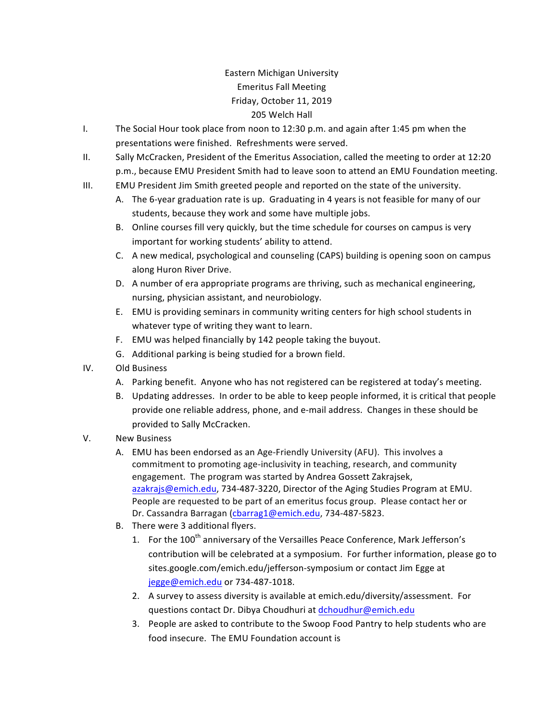## Eastern Michigan University Emeritus Fall Meeting Friday, October 11, 2019 205 Welch Hall

- I. The Social Hour took place from noon to  $12:30$  p.m. and again after 1:45 pm when the presentations were finished. Refreshments were served.
- II. Sally McCracken, President of the Emeritus Association, called the meeting to order at 12:20 p.m., because EMU President Smith had to leave soon to attend an EMU Foundation meeting.
- III. EMU President Jim Smith greeted people and reported on the state of the university.
	- A. The 6-year graduation rate is up. Graduating in 4 years is not feasible for many of our students, because they work and some have multiple jobs.
	- B. Online courses fill very quickly, but the time schedule for courses on campus is very important for working students' ability to attend.
	- C. A new medical, psychological and counseling (CAPS) building is opening soon on campus along Huron River Drive.
	- D. A number of era appropriate programs are thriving, such as mechanical engineering, nursing, physician assistant, and neurobiology.
	- E. EMU is providing seminars in community writing centers for high school students in whatever type of writing they want to learn.
	- F. EMU was helped financially by 142 people taking the buyout.
	- G. Additional parking is being studied for a brown field.
- IV. Old Business
	- A. Parking benefit. Anyone who has not registered can be registered at today's meeting.
	- B. Updating addresses. In order to be able to keep people informed, it is critical that people provide one reliable address, phone, and e-mail address. Changes in these should be provided to Sally McCracken.
- V. New Business
	- A. EMU has been endorsed as an Age-Friendly University (AFU). This involves a commitment to promoting age-inclusivity in teaching, research, and community engagement. The program was started by Andrea Gossett Zakrajsek, azakrajs@emich.edu, 734-487-3220, Director of the Aging Studies Program at EMU. People are requested to be part of an emeritus focus group. Please contact her or Dr. Cassandra Barragan (cbarrag1@emich.edu, 734-487-5823.
	- B. There were 3 additional flyers.
		- 1. For the 100<sup>th</sup> anniversary of the Versailles Peace Conference, Mark Jefferson's contribution will be celebrated at a symposium. For further information, please go to sites.google.com/emich.edu/jefferson-symposium or contact Jim Egge at jegge@emich.edu or 734-487-1018.
		- 2. A survey to assess diversity is available at emich.edu/diversity/assessment. For questions contact Dr. Dibya Choudhuri at dchoudhur@emich.edu
		- 3. People are asked to contribute to the Swoop Food Pantry to help students who are food insecure. The EMU Foundation account is